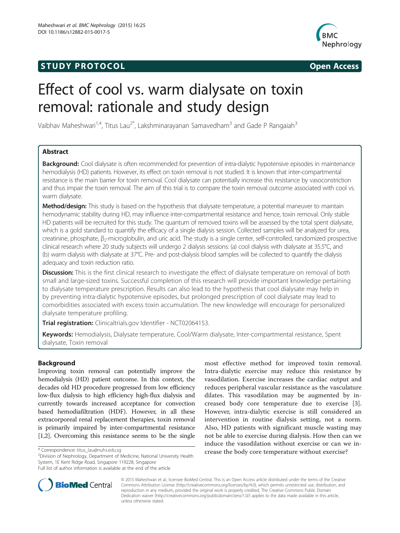# **STUDY PROTOCOL** And the set of the set of the set of the set of the set of the set of the set of the set of the set of the set of the set of the set of the set of the set of the set of the set of the set of the set of the



# Effect of cool vs. warm dialysate on toxin removal: rationale and study design

Vaibhav Maheshwari<sup>1,4</sup>, Titus Lau<sup>2\*</sup>, Lakshminarayanan Samavedham<sup>3</sup> and Gade P Rangaiah<sup>3</sup>

## Abstract

Background: Cool dialysate is often recommended for prevention of intra-dialytic hypotensive episodes in maintenance hemodialysis (HD) patients. However, its effect on toxin removal is not studied. It is known that inter-compartmental resistance is the main barrier for toxin removal. Cool dialysate can potentially increase this resistance by vasoconstriction and thus impair the toxin removal. The aim of this trial is to compare the toxin removal outcome associated with cool vs. warm dialysate.

Method/design: This study is based on the hypothesis that dialysate temperature, a potential maneuver to maintain hemodynamic stability during HD, may influence inter-compartmental resistance and hence, toxin removal. Only stable HD patients will be recruited for this study. The quantum of removed toxins will be assessed by the total spent dialysate, which is a gold standard to quantify the efficacy of a single dialysis session. Collected samples will be analyzed for urea, creatinine, phosphate, β<sub>2</sub>-microglobulin, and uric acid. The study is a single center, self-controlled, randomized prospective clinical research where 20 study subjects will undergo 2 dialysis sessions: (a) cool dialysis with dialysate at 35.5°C, and (b) warm dialysis with dialysate at 37°C. Pre- and post-dialysis blood samples will be collected to quantify the dialysis adequacy and toxin reduction ratio.

Discussion: This is the first clinical research to investigate the effect of dialysate temperature on removal of both small and large-sized toxins. Successful completion of this research will provide important knowledge pertaining to dialysate temperature prescription. Results can also lead to the hypothesis that cool dialysate may help in by preventing intra-dialytic hypotensive episodes, but prolonged prescription of cool dialysate may lead to comorbidities associated with excess toxin accumulation. The new knowledge will encourage for personalized dialysate temperature profiling.

**Trial registration:** Clinicaltrials.gov Identifier - [NCT02064153](https://clinicaltrials.gov/ct2/show/NCT02064153?term=NCT02064153&rank=1).

Keywords: Hemodialysis, Dialysate temperature, Cool/Warm dialysate, Inter-compartmental resistance, Spent dialysate, Toxin removal

### Background

Improving toxin removal can potentially improve the hemodialysis (HD) patient outcome. In this context, the decades old HD procedure progressed from low efficiency low-flux dialysis to high efficiency high-flux dialysis and currently towards increased acceptance for convection based hemodiafiltration (HDF). However, in all these extracorporeal renal replacement therapies, toxin removal is primarily impaired by inter-compartmental resistance [[1,2](#page-4-0)]. Overcoming this resistance seems to be the single

<sup>2</sup>Division of Nephrology, Department of Medicine, National University Health System, 1E Kent Ridge Road, Singapore 119228, Singapore

most effective method for improved toxin removal. Intra-dialytic exercise may reduce this resistance by vasodilation. Exercise increases the cardiac output and reduces peripheral vascular resistance as the vasculature dilates. This vasodilation may be augmented by increased body core temperature due to exercise [[3](#page-4-0)]. However, intra-dialytic exercise is still considered an intervention in routine dialysis setting, not a norm. Also, HD patients with significant muscle wasting may not be able to exercise during dialysis. How then can we induce the vasodilation without exercise or can we in\*Correspondence: [titus\\_lau@nuhs.edu.sg](mailto:titus_lau@nuhs.edu.sg) crease the body core temperature without exercise?



© 2015 Maheshwari et al.; licensee BioMed Central. This is an Open Access article distributed under the terms of the Creative Commons Attribution License [\(http://creativecommons.org/licenses/by/4.0\)](http://creativecommons.org/licenses/by/4.0), which permits unrestricted use, distribution, and reproduction in any medium, provided the original work is properly credited. The Creative Commons Public Domain Dedication waiver [\(http://creativecommons.org/publicdomain/zero/1.0/](http://creativecommons.org/publicdomain/zero/1.0/)) applies to the data made available in this article, unless otherwise stated.

Full list of author information is available at the end of the article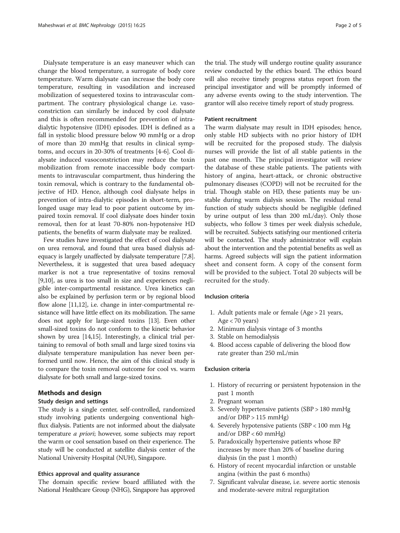Dialysate temperature is an easy maneuver which can change the blood temperature, a surrogate of body core temperature. Warm dialysate can increase the body core temperature, resulting in vasodilation and increased mobilization of sequestered toxins to intravascular compartment. The contrary physiological change i.e. vasoconstriction can similarly be induced by cool dialysate and this is often recommended for prevention of intradialytic hypotensive (IDH) episodes. IDH is defined as a fall in systolic blood pressure below 90 mmHg or a drop of more than 20 mmHg that results in clinical symptoms, and occurs in 20-30% of treatments [\[4-6](#page-4-0)]. Cool dialysate induced vasoconstriction may reduce the toxin mobilization from remote inaccessible body compartments to intravascular compartment, thus hindering the toxin removal, which is contrary to the fundamental objective of HD. Hence, although cool dialysate helps in prevention of intra-dialytic episodes in short-term, prolonged usage may lead to poor patient outcome by impaired toxin removal. If cool dialysate does hinder toxin removal, then for at least 70-80% non-hypotensive HD patients, the benefits of warm dialysate may be realized.

Few studies have investigated the effect of cool dialysate on urea removal, and found that urea based dialysis adequacy is largely unaffected by dialysate temperature [[7](#page-4-0),[8](#page-4-0)]. Nevertheless, it is suggested that urea based adequacy marker is not a true representative of toxins removal [[9,10](#page-4-0)], as urea is too small in size and experiences negligible inter-compartmental resistance. Urea kinetics can also be explained by perfusion term or by regional blood flow alone [\[11,12\]](#page-4-0), i.e. change in inter-compartmental resistance will have little effect on its mobilization. The same does not apply for large-sized toxins [\[13\]](#page-4-0). Even other small-sized toxins do not conform to the kinetic behavior shown by urea [[14,15](#page-4-0)]. Interestingly, a clinical trial pertaining to removal of both small and large sized toxins via dialysate temperature manipulation has never been performed until now. Hence, the aim of this clinical study is to compare the toxin removal outcome for cool vs. warm dialysate for both small and large-sized toxins.

#### Methods and design

#### Study design and settings

The study is a single center, self-controlled, randomized study involving patients undergoing conventional highflux dialysis. Patients are not informed about the dialysate temperature a priori; however, some subjects may report the warm or cool sensation based on their experience. The study will be conducted at satellite dialysis center of the National University Hospital (NUH), Singapore.

#### Ethics approval and quality assurance

The domain specific review board affiliated with the National Healthcare Group (NHG), Singapore has approved

the trial. The study will undergo routine quality assurance review conducted by the ethics board. The ethics board will also receive timely progress status report from the principal investigator and will be promptly informed of any adverse events owing to the study intervention. The grantor will also receive timely report of study progress.

#### Patient recruitment

The warm dialysate may result in IDH episodes; hence, only stable HD subjects with no prior history of IDH will be recruited for the proposed study. The dialysis nurses will provide the list of all stable patients in the past one month. The principal investigator will review the database of these stable patients. The patients with history of angina, heart-attack, or chronic obstructive pulmonary diseases (COPD) will not be recruited for the trial. Though stable on HD, these patients may be unstable during warm dialysis session. The residual renal function of study subjects should be negligible (defined by urine output of less than 200 mL/day). Only those subjects, who follow 3 times per week dialysis schedule, will be recruited. Subjects satisfying our mentioned criteria will be contacted. The study administrator will explain about the intervention and the potential benefits as well as harms. Agreed subjects will sign the patient information sheet and consent form. A copy of the consent form will be provided to the subject. Total 20 subjects will be recruited for the study.

#### Inclusion criteria

- 1. Adult patients male or female (Age > 21 years, Age < 70 years)
- 2. Minimum dialysis vintage of 3 months
- 3. Stable on hemodialysis
- 4. Blood access capable of delivering the blood flow rate greater than 250 mL/min

#### Exclusion criteria

- 1. History of recurring or persistent hypotension in the past 1 month
- 2. Pregnant woman
- 3. Severely hypertensive patients (SBP > 180 mmHg and/or  $DBP > 115$  mmHg)
- 4. Severely hypotensive patients (SBP < 100 mm Hg and/or DBP < 60 mmHg)
- 5. Paradoxically hypertensive patients whose BP increases by more than 20% of baseline during dialysis (in the past 1 month)
- 6. History of recent myocardial infarction or unstable angina (within the past 6 months)
- 7. Significant valvular disease, i.e. severe aortic stenosis and moderate-severe mitral regurgitation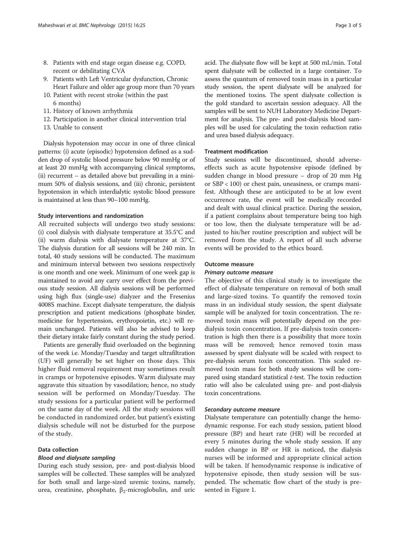- 8. Patients with end stage organ disease e.g. COPD, recent or debilitating CVA
- 9. Patients with Left Ventricular dysfunction, Chronic Heart Failure and older age group more than 70 years
- 10. Patient with recent stroke (within the past 6 months)
- 11. History of known arrhythmia
- 12. Participation in another clinical intervention trial
- 13. Unable to consent

Dialysis hypotension may occur in one of three clinical patterns: (i) acute (episodic) hypotension defined as a sudden drop of systolic blood pressure below 90 mmHg or of at least 20 mmHg with accompanying clinical symptoms, (ii) recurrent – as detailed above but prevailing in a minimum 50% of dialysis sessions, and (iii) chronic, persistent hypotension in which interdialytic systolic blood pressure is maintained at less than 90–100 mmHg.

#### Study interventions and randomization

All recruited subjects will undergo two study sessions: (i) cool dialysis with dialysate temperature at 35.5°C and (ii) warm dialysis with dialysate temperature at 37°C. The dialysis duration for all sessions will be 240 min. In total, 40 study sessions will be conducted. The maximum and minimum interval between two sessions respectively is one month and one week. Minimum of one week gap is maintained to avoid any carry over effect from the previous study session. All dialysis sessions will be performed using high flux (single-use) dialyzer and the Fresenius 4008S machine. Except dialysate temperature, the dialysis prescription and patient medications (phosphate binder, medicine for hypertension, erythropoietin, etc.) will remain unchanged. Patients will also be advised to keep their dietary intake fairly constant during the study period.

Patients are generally fluid overloaded on the beginning of the week i.e. Monday/Tuesday and target ultrafiltration (UF) will generally be set higher on those days. This higher fluid removal requirement may sometimes result in cramps or hypotensive episodes. Warm dialysate may aggravate this situation by vasodilation; hence, no study session will be performed on Monday/Tuesday. The study sessions for a particular patient will be performed on the same day of the week. All the study sessions will be conducted in randomized order, but patient's existing dialysis schedule will not be disturbed for the purpose of the study.

#### Data collection

#### Blood and dialysate sampling

During each study session, pre- and post-dialysis blood samples will be collected. These samples will be analyzed for both small and large-sized uremic toxins, namely, urea, creatinine, phosphate,  $β_2$ -microglobulin, and uric acid. The dialysate flow will be kept at 500 mL/min. Total spent dialysate will be collected in a large container. To assess the quantum of removed toxin mass in a particular study session, the spent dialysate will be analyzed for the mentioned toxins. The spent dialysate collection is the gold standard to ascertain session adequacy. All the samples will be sent to NUH Laboratory Medicine Department for analysis. The pre- and post-dialysis blood samples will be used for calculating the toxin reduction ratio and urea based dialysis adequacy.

#### Treatment modification

Study sessions will be discontinued, should adverseeffects such as acute hypotensive episode (defined by sudden change in blood pressure – drop of 20 mm Hg or SBP < 100) or chest pain, uneasiness, or cramps manifest. Although these are anticipated to be at low event occurrence rate, the event will be medically recorded and dealt with usual clinical practice. During the session, if a patient complains about temperature being too high or too low, then the dialysate temperature will be adjusted to his/her routine prescription and subject will be removed from the study. A report of all such adverse events will be provided to the ethics board.

#### Outcome measure

#### Primary outcome measure

The objective of this clinical study is to investigate the effect of dialysate temperature on removal of both small and large-sized toxins. To quantify the removed toxin mass in an individual study session, the spent dialysate sample will be analyzed for toxin concentration. The removed toxin mass will potentially depend on the predialysis toxin concentration. If pre-dialysis toxin concentration is high then there is a possibility that more toxin mass will be removed; hence removed toxin mass assessed by spent dialysate will be scaled with respect to pre-dialysis serum toxin concentration. This scaled removed toxin mass for both study sessions will be compared using standard statistical  $t$ -test. The toxin reduction ratio will also be calculated using pre- and post-dialysis toxin concentrations.

#### Secondary outcome measure

Dialysate temperature can potentially change the hemodynamic response. For each study session, patient blood pressure (BP) and heart rate (HR) will be recorded at every 5 minutes during the whole study session. If any sudden change in BP or HR is noticed, the dialysis nurses will be informed and appropriate clinical action will be taken. If hemodynamic response is indicative of hypotensive episode, then study session will be suspended. The schematic flow chart of the study is presented in Figure [1](#page-3-0).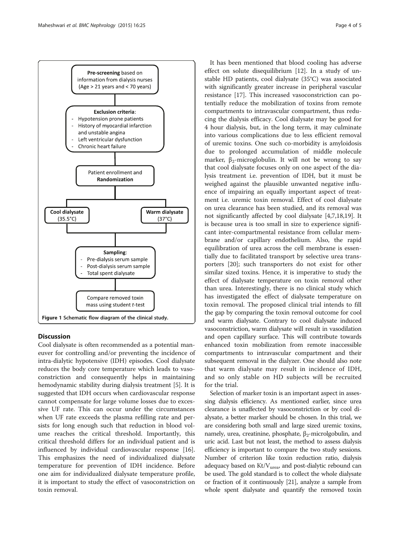<span id="page-3-0"></span>

#### **Discussion**

Cool dialysate is often recommended as a potential maneuver for controlling and/or preventing the incidence of intra-dialytic hypotensive (IDH) episodes. Cool dialysate reduces the body core temperature which leads to vasoconstriction and consequently helps in maintaining hemodynamic stability during dialysis treatment [\[5](#page-4-0)]. It is suggested that IDH occurs when cardiovascular response cannot compensate for large volume losses due to excessive UF rate. This can occur under the circumstances when UF rate exceeds the plasma refilling rate and persists for long enough such that reduction in blood volume reaches the critical threshold. Importantly, this critical threshold differs for an individual patient and is influenced by individual cardiovascular response [\[16](#page-4-0)]. This emphasizes the need of individualized dialysate temperature for prevention of IDH incidence. Before one aim for individualized dialysate temperature profile, it is important to study the effect of vasoconstriction on toxin removal.

It has been mentioned that blood cooling has adverse effect on solute disequilibrium [[12\]](#page-4-0). In a study of unstable HD patients, cool dialysate (35°C) was associated with significantly greater increase in peripheral vascular resistance [[17\]](#page-4-0). This increased vasoconstriction can potentially reduce the mobilization of toxins from remote compartments to intravascular compartment, thus reducing the dialysis efficacy. Cool dialysate may be good for 4 hour dialysis, but, in the long term, it may culminate into various complications due to less efficient removal of uremic toxins. One such co-morbidity is amyloidosis due to prolonged accumulation of middle molecule marker,  $\beta_2$ -microglobulin. It will not be wrong to say that cool dialysate focuses only on one aspect of the dialysis treatment i.e. prevention of IDH, but it must be weighed against the plausible unwanted negative influence of impairing an equally important aspect of treatment i.e. uremic toxin removal. Effect of cool dialysate on urea clearance has been studied, and its removal was not significantly affected by cool dialysate [\[4,7,18,19\]](#page-4-0). It is because urea is too small in size to experience significant inter-compartmental resistance from cellular membrane and/or capillary endothelium. Also, the rapid equilibration of urea across the cell membrane is essentially due to facilitated transport by selective urea transporters [\[20\]](#page-4-0); such transporters do not exist for other similar sized toxins. Hence, it is imperative to study the effect of dialysate temperature on toxin removal other than urea. Interestingly, there is no clinical study which has investigated the effect of dialysate temperature on toxin removal. The proposed clinical trial intends to fill the gap by comparing the toxin removal outcome for cool and warm dialysate. Contrary to cool dialysate induced vasoconstriction, warm dialysate will result in vasodilation and open capillary surface. This will contribute towards enhanced toxin mobilization from remote inaccessible compartments to intravascular compartment and their subsequent removal in the dialyzer. One should also note that warm dialysate may result in incidence of IDH, and so only stable on HD subjects will be recruited for the trial.

Selection of marker toxin is an important aspect in assessing dialysis efficiency. As mentioned earlier, since urea clearance is unaffected by vasoconstriction or by cool dialysate, a better marker should be chosen. In this trial, we are considering both small and large sized uremic toxins, namely, urea, creatinine, phosphate,  $β_2$ -microlgobulin, and uric acid. Last but not least, the method to assess dialysis efficiency is important to compare the two study sessions. Number of criterion like toxin reduction ratio, dialysis adequacy based on  $Kt/V<sub>urea</sub>$ , and post-dialytic rebound can be used. The gold standard is to collect the whole dialysate or fraction of it continuously [\[21\]](#page-4-0), analyze a sample from whole spent dialysate and quantify the removed toxin